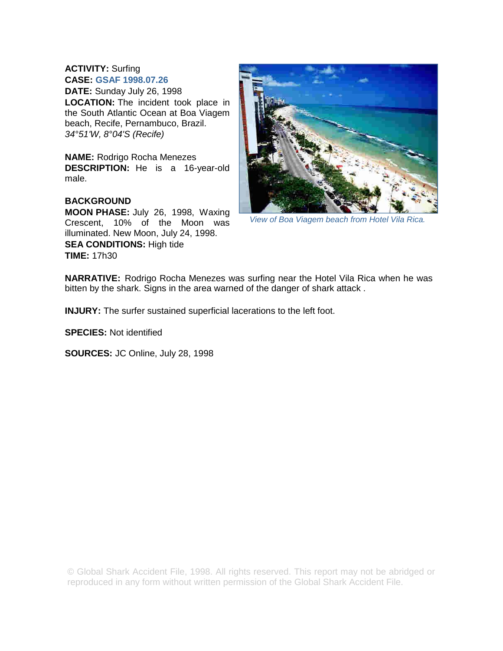## **ACTIVITY:** Surfing **CASE: GSAF 1998.07.26**

**DATE:** Sunday July 26, 1998 **LOCATION:** The incident took place in the South Atlantic Ocean at Boa Viagem beach, Recife, Pernambuco, Brazil. *34°51'W, 8°04'S (Recife)* 

**NAME:** Rodrigo Rocha Menezes **DESCRIPTION:** He is a 16-year-old male.

## **BACKGROUND**

**MOON PHASE:** July 26, 1998, Waxing Crescent, 10% of the Moon was illuminated. New Moon, July 24, 1998.

**SEA CONDITIONS:** High tide **TIME:** 17h30



*View of Boa Viagem beach from Hotel Vila Rica.* 

**NARRATIVE:** Rodrigo Rocha Menezes was surfing near the Hotel Vila Rica when he was bitten by the shark. Signs in the area warned of the danger of shark attack .

**INJURY:** The surfer sustained superficial lacerations to the left foot.

**SPECIES:** Not identified

**SOURCES:** JC Online, July 28, 1998

© Global Shark Accident File, 1998. All rights reserved. This report may not be abridged or reproduced in any form without written permission of the Global Shark Accident File.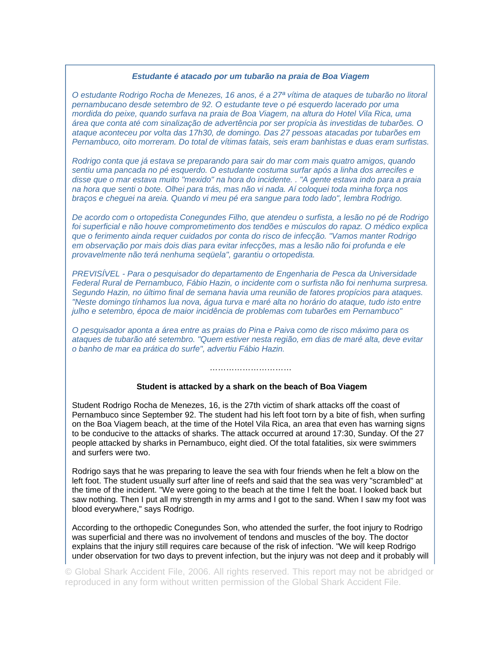## *Estudante é atacado por um tubarão na praia de Boa Viagem*

*O estudante Rodrigo Rocha de Menezes, 16 anos, é a 27ª vítima de ataques de tubarão no litoral pernambucano desde setembro de 92. O estudante teve o pé esquerdo lacerado por uma mordida do peixe, quando surfava na praia de Boa Viagem, na altura do Hotel Vila Rica, uma área que conta até com sinalização de advertência por ser propícia às investidas de tubarões. O ataque aconteceu por volta das 17h30, de domingo. Das 27 pessoas atacadas por tubarões em Pernambuco, oito morreram. Do total de vítimas fatais, seis eram banhistas e duas eram surfistas.* 

*Rodrigo conta que já estava se preparando para sair do mar com mais quatro amigos, quando sentiu uma pancada no pé esquerdo. O estudante costuma surfar após a linha dos arrecifes e disse que o mar estava muito "mexido" na hora do incidente. . "A gente estava indo para a praia na hora que senti o bote. Olhei para trás, mas não vi nada. Aí coloquei toda minha força nos braços e cheguei na areia. Quando vi meu pé era sangue para todo lado", lembra Rodrigo.* 

*De acordo com o ortopedista Conegundes Filho, que atendeu o surfista, a lesão no pé de Rodrigo foi superficial e não houve comprometimento dos tendões e músculos do rapaz. O médico explica que o ferimento ainda requer cuidados por conta do risco de infecção. "Vamos manter Rodrigo em observação por mais dois dias para evitar infecções, mas a lesão não foi profunda e ele provavelmente não terá nenhuma seqüela", garantiu o ortopedista.* 

*PREVISÍVEL - Para o pesquisador do departamento de Engenharia de Pesca da Universidade Federal Rural de Pernambuco, Fábio Hazin, o incidente com o surfista não foi nenhuma surpresa. Segundo Hazin, no último final de semana havia uma reunião de fatores propícios para ataques. "Neste domingo tínhamos lua nova, água turva e maré alta no horário do ataque, tudo isto entre julho e setembro, época de maior incidência de problemas com tubarões em Pernambuco"* 

*O pesquisador aponta a área entre as praias do Pina e Paiva como de risco máximo para os ataques de tubarão até setembro. "Quem estiver nesta região, em dias de maré alta, deve evitar o banho de mar ea prática do surfe", advertiu Fábio Hazin.* 

## **Student is attacked by a shark on the beach of Boa Viagem**

……………………………………

Student Rodrigo Rocha de Menezes, 16, is the 27th victim of shark attacks off the coast of Pernambuco since September 92. The student had his left foot torn by a bite of fish, when surfing on the Boa Viagem beach, at the time of the Hotel Vila Rica, an area that even has warning signs to be conducive to the attacks of sharks. The attack occurred at around 17:30, Sunday. Of the 27 people attacked by sharks in Pernambuco, eight died. Of the total fatalities, six were swimmers and surfers were two.

Rodrigo says that he was preparing to leave the sea with four friends when he felt a blow on the left foot. The student usually surf after line of reefs and said that the sea was very "scrambled" at the time of the incident. "We were going to the beach at the time I felt the boat. I looked back but saw nothing. Then I put all my strength in my arms and I got to the sand. When I saw my foot was blood everywhere," says Rodrigo.

According to the orthopedic Conegundes Son, who attended the surfer, the foot injury to Rodrigo was superficial and there was no involvement of tendons and muscles of the boy. The doctor explains that the injury still requires care because of the risk of infection. "We will keep Rodrigo under observation for two days to prevent infection, but the injury was not deep and it probably will

© Global Shark Accident File, 2006. All rights reserved. This report may not be abridged or reproduced in any form without written permission of the Global Shark Accident File.